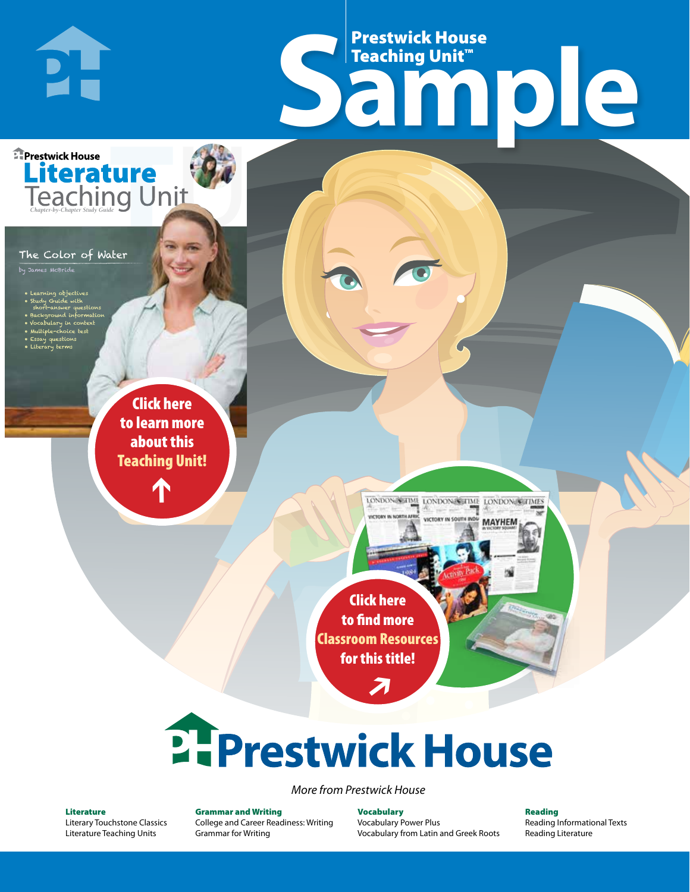# Frestwick House<br>
Sample Prestwick House Teaching Unit™

LONDON-SCITME LONDON/SCITME LONDON/SCITMES victory in soul

**MAYHEM** 

**Prestwick House** Literature<br>Teaching Unit

#### The Color of Water

**DH** 

**A Tale of Two Cities**

CHARLES DICKENS

by James McBride

- 
- Learning objectives • Study Guide with
- short-answer questions • Background information
- Vocabulary in context
- Multiple-choice test
- Essay questions • Literary terms

r e o r d e r n o . x x x x x x Click here to learn more about this [Teaching Unit!](https://www.prestwickhouse.com/book/id-300203/Color_of_Water_The_-_Teaching_Unit)

 $\mathbf{T}$ 

1

Click here to find more [Classroom Resources](http://teaching-english.prestwickhouse.com/search#w=the%20color%20of%20water)  for this title!

 $\overline{\boldsymbol{\lambda}}$ 

# 2. Prestwick House

*More from Prestwick House*

#### Literature

[Literary Touchstone Classics](https://www.prestwickhouse.com/literary-touchstone-classics) [Literature Teaching Units](https://www.prestwickhouse.com/teaching-units)

Grammar and Writing [College and Career Readiness: Writing](https://www.prestwickhouse.com/college-and-career-readiness-writing) [Grammar for Writing](https://www.prestwickhouse.com/book/id-302639/Grammar_for_Writing_-_30_Books_and_Teachers_Edition)

**Vocabulary** [Vocabulary Power Plus](https://www.prestwickhouse.com/vocabulary-power-plus-for-college-and-career-readiness) [Vocabulary from Latin and Greek Roots](https://www.prestwickhouse.com/vocabulary-from-latin-and-greek-roots) Reading

[Reading Informational Texts](https://www.prestwickhouse.com/reading-informational-texts) [Reading Literature](https://www.prestwickhouse.com/reading-literature)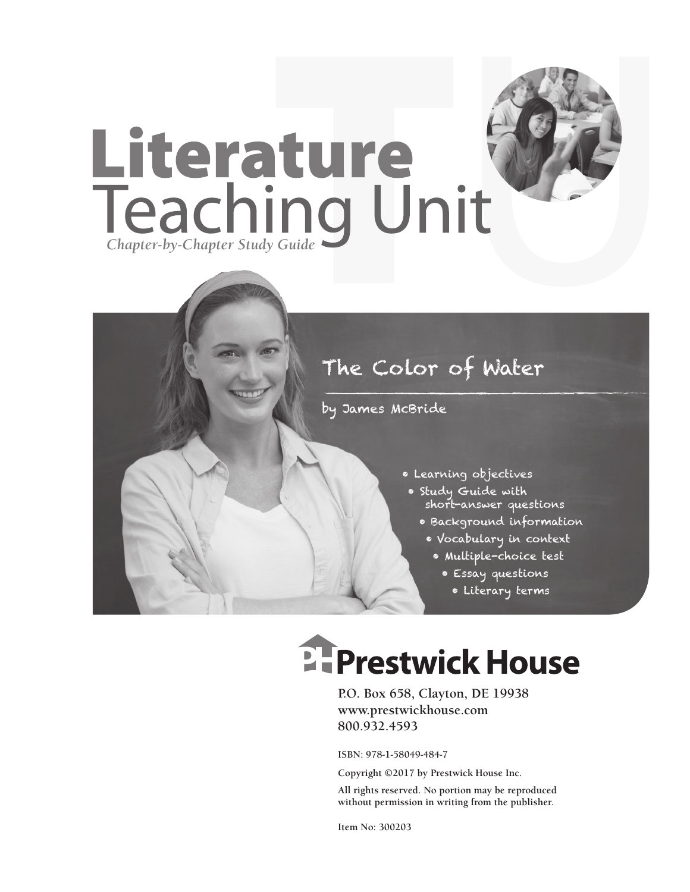

### The Color of Water

by James McBride

- Learning objectives
- Study Guide with short-answer questions
	- Background information
	- Vocabulary in context
		- Multiple-choice test
			- Essay questions
				- Literary terms

# **Ellenger Prestwick House**

**P.O. Box 658, Clayton, DE 19938 www.prestwickhouse.com 800.932.4593**

**ISBN: 978-1-58049-484-7**

**Copyright ©2017 by Prestwick House Inc.**

**All rights reserved. No portion may be reproduced without permission in writing from the publisher.**

**Item No: 300203**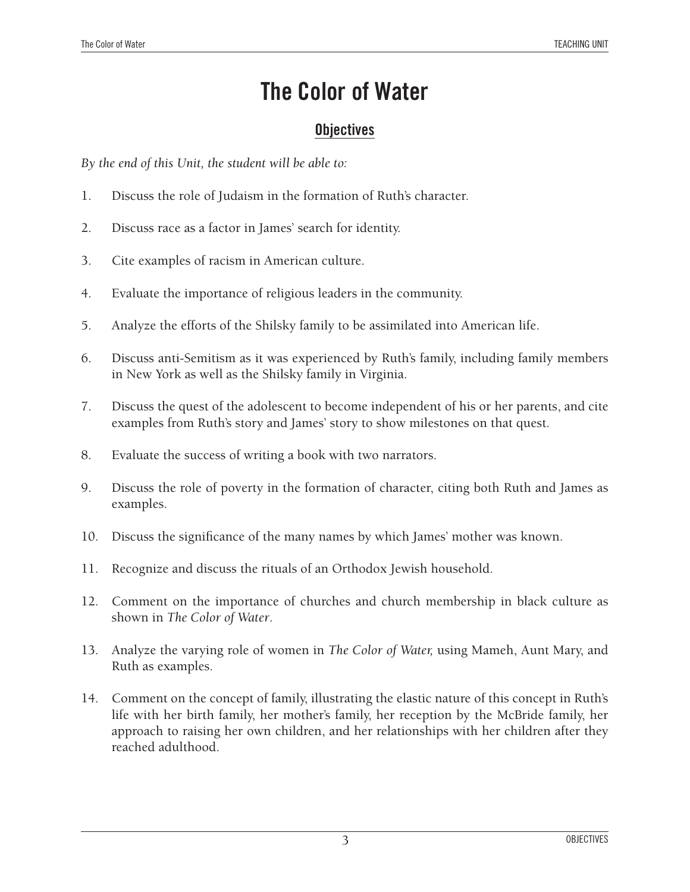### **The Color of Water**

### **Objectives**

*By the end of this Unit, the student will be able to:*

- 1. Discuss the role of Judaism in the formation of Ruth's character.
- 2. Discuss race as a factor in James' search for identity.
- 3. Cite examples of racism in American culture.
- 4. Evaluate the importance of religious leaders in the community.
- 5. Analyze the efforts of the Shilsky family to be assimilated into American life.
- 6. Discuss anti-Semitism as it was experienced by Ruth's family, including family members in New York as well as the Shilsky family in Virginia.
- 7. Discuss the quest of the adolescent to become independent of his or her parents, and cite examples from Ruth's story and James' story to show milestones on that quest.
- 8. Evaluate the success of writing a book with two narrators.
- 9. Discuss the role of poverty in the formation of character, citing both Ruth and James as examples.
- 10. Discuss the significance of the many names by which James' mother was known.
- 11. Recognize and discuss the rituals of an Orthodox Jewish household.
- 12. Comment on the importance of churches and church membership in black culture as shown in *The Color of Water*.
- 13. Analyze the varying role of women in *The Color of Water,* using Mameh, Aunt Mary, and Ruth as examples.
- 14. Comment on the concept of family, illustrating the elastic nature of this concept in Ruth's life with her birth family, her mother's family, her reception by the McBride family, her approach to raising her own children, and her relationships with her children after they reached adulthood.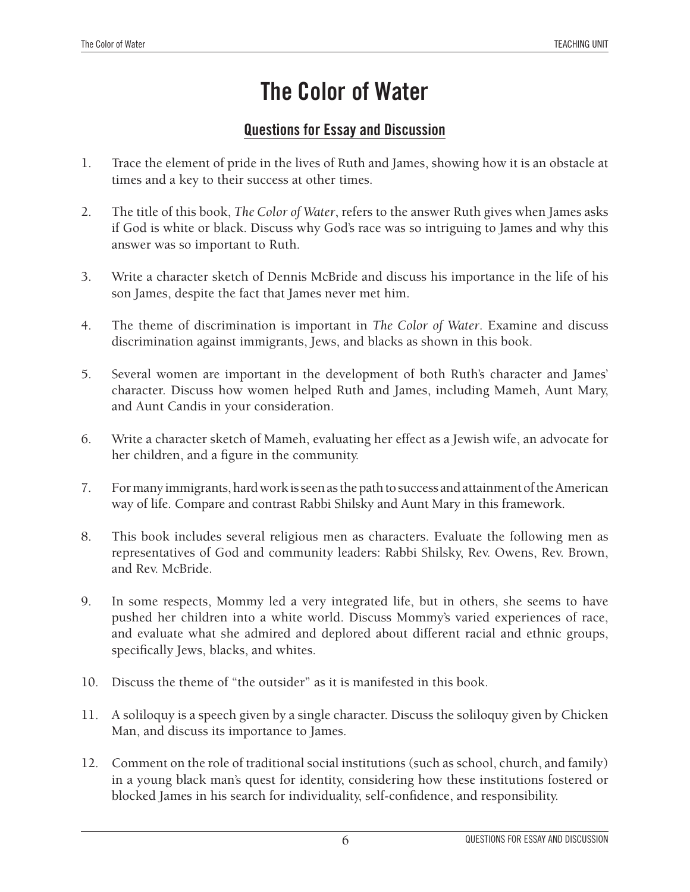### **The Color of Water**

### **Questions for Essay and Discussion**

- 1. Trace the element of pride in the lives of Ruth and James, showing how it is an obstacle at times and a key to their success at other times.
- 2. The title of this book, *The Color of Water*, refers to the answer Ruth gives when James asks if God is white or black. Discuss why God's race was so intriguing to James and why this answer was so important to Ruth.
- 3. Write a character sketch of Dennis McBride and discuss his importance in the life of his son James, despite the fact that James never met him.
- 4. The theme of discrimination is important in *The Color of Water*. Examine and discuss discrimination against immigrants, Jews, and blacks as shown in this book.
- 5. Several women are important in the development of both Ruth's character and James' character. Discuss how women helped Ruth and James, including Mameh, Aunt Mary, and Aunt Candis in your consideration.
- 6. Write a character sketch of Mameh, evaluating her effect as a Jewish wife, an advocate for her children, and a figure in the community.
- 7. For many immigrants, hard work is seen as the path to success and attainment of the American way of life. Compare and contrast Rabbi Shilsky and Aunt Mary in this framework.
- 8. This book includes several religious men as characters. Evaluate the following men as representatives of God and community leaders: Rabbi Shilsky, Rev. Owens, Rev. Brown, and Rev. McBride.
- 9. In some respects, Mommy led a very integrated life, but in others, she seems to have pushed her children into a white world. Discuss Mommy's varied experiences of race, and evaluate what she admired and deplored about different racial and ethnic groups, specifically Jews, blacks, and whites.
- 10. Discuss the theme of "the outsider" as it is manifested in this book.
- 11. A soliloquy is a speech given by a single character. Discuss the soliloquy given by Chicken Man, and discuss its importance to James.
- 12. Comment on the role of traditional social institutions (such as school, church, and family) in a young black man's quest for identity, considering how these institutions fostered or blocked James in his search for individuality, self-confidence, and responsibility.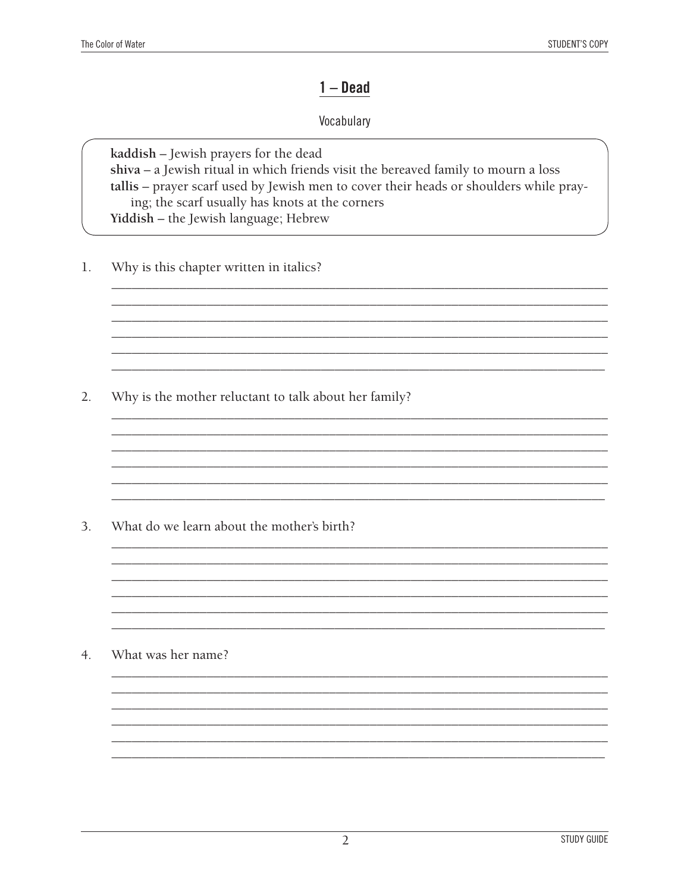### $1 - Dead$

### Vocabulary

kaddish - Jewish prayers for the dead  $shiva - a$  Jewish ritual in which friends visit the bereaved family to mourn a loss tallis - prayer scarf used by Jewish men to cover their heads or shoulders while praying; the scarf usually has knots at the corners Yiddish - the Jewish language; Hebrew

<u> 1980 - Johann Stoff, fransk politik (f. 1980)</u>

 $1.$ Why is this chapter written in italics?

 $2.$ Why is the mother reluctant to talk about her family?

 $3.$ What do we learn about the mother's birth?

 $4.$ What was her name?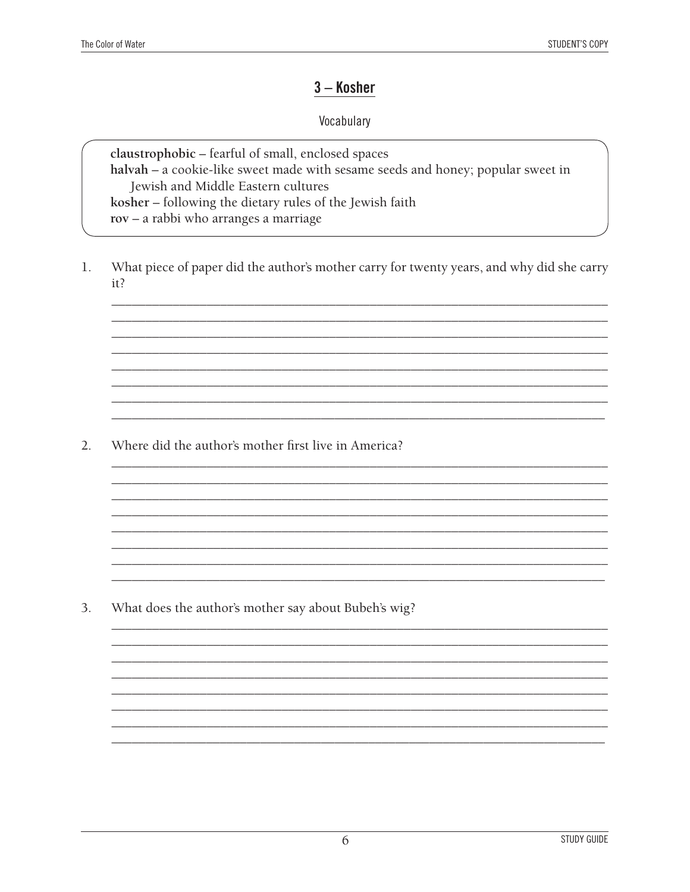### 3 - Kosher

### Vocabulary

claustrophobic - fearful of small, enclosed spaces halvah - a cookie-like sweet made with sesame seeds and honey; popular sweet in Jewish and Middle Eastern cultures kosher - following the dietary rules of the Jewish faith rov - a rabbi who arranges a marriage

What piece of paper did the author's mother carry for twenty years, and why did she carry  $1.$  $it?$ 

 $2.$ Where did the author's mother first live in America?

3. What does the author's mother say about Bubeh's wig?